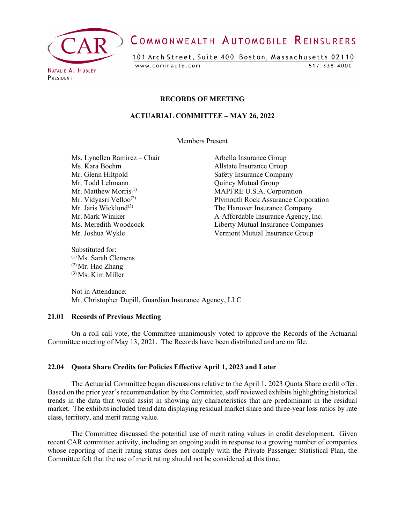

# COMMONWEALTH AUTOMOBILE REINSURERS

101 Arch Street, Suite 400 Boston, Massachusetts 02110 www.commauto.com  $617 - 338 - 4000$ 

PRESIDENT

#### **RECORDS OF MEETING**

### **ACTUARIAL COMMITTEE – MAY 26, 2022**

Members Present

Ms. Lynellen Ramirez – Chair Arbella Insurance Group Ms. Kara Boehm Allstate Insurance Group Mr. Glenn Hiltpold Safety Insurance Company Mr. Todd Lehmann Quincy Mutual Group

Substituted for: (1) Ms. Sarah Clemens  $(2)$  Mr. Hao Zhang (3) Ms. Kim Miller

Mr. Matthew Morris<sup>(1)</sup> MAPFRE U.S.A. Corporation Mr. Vidyasri Velloo<sup>(2)</sup><br>Mr. Jaris Wicklund<sup>(3)</sup> Plymouth Rock Assurance Corporation<br>The Hanover Insurance Company Mr. Jaris Wicklund<sup>(3)</sup><br>Mr. Mark Winiker **The Hanover Insurance Company**<br>A-Affordable Insurance Agency. I A-Affordable Insurance Agency, Inc. Ms. Meredith Woodcock Liberty Mutual Insurance Companies Mr. Joshua Wykle Vermont Mutual Insurance Group

Not in Attendance: Mr. Christopher Dupill, Guardian Insurance Agency, LLC

## **21.01 Records of Previous Meeting**

On a roll call vote, the Committee unanimously voted to approve the Records of the Actuarial Committee meeting of May 13, 2021. The Records have been distributed and are on file.

#### **22.04 Quota Share Credits for Policies Effective April 1, 2023 and Later**

The Actuarial Committee began discussions relative to the April 1, 2023 Quota Share credit offer. Based on the prior year's recommendation by the Committee, staff reviewed exhibits highlighting historical trends in the data that would assist in showing any characteristics that are predominant in the residual market. The exhibits included trend data displaying residual market share and three-year loss ratios by rate class, territory, and merit rating value.

The Committee discussed the potential use of merit rating values in credit development. Given recent CAR committee activity, including an ongoing audit in response to a growing number of companies whose reporting of merit rating status does not comply with the Private Passenger Statistical Plan, the Committee felt that the use of merit rating should not be considered at this time.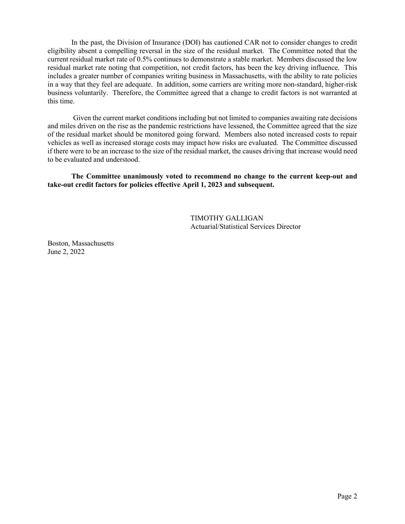In the past, the Division of Insurance (DOI) has cautioned CAR not to consider changes to credit eligibility absent a compelling reversal in the size of the residual market. The Committee noted that the current residual market rate of 0.5% continues to demonstrate a stable market. Members discussed the low residual market rate noting that competition, not credit factors, has been the key driving influence. This includes a greater number of companies writing business in Massachusetts, with the ability to rate policies in a way that they feel are adequate. In addition, some carriers are writing more non-standard, higher-risk business voluntarily. Therefore, the Committee agreed that a change to credit factors is not warranted at this time.

Given the current market conditions including but not limited to companies awaiting rate decisions and miles driven on the rise as the pandemic restrictions have lessened, the Committee agreed that the size of the residual market should be monitored going forward. Members also noted increased costs to repair vehicles as well as increased storage costs may impact how risks are evaluated. The Committee discussed if there were to be an increase to the size of the residual market, the causes driving that increase would need to be evaluated and understood.

**The Committee unanimously voted to recommend no change to the current keep-out and take-out credit factors for policies effective April 1, 2023 and subsequent.**

> TIMOTHY GALLIGAN Actuarial/Statistical Services Director

Boston, Massachusetts June 2, 2022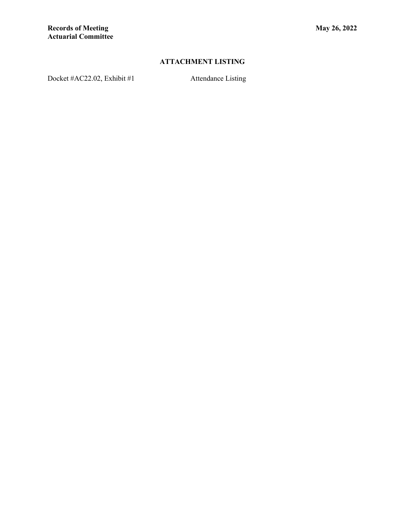## **ATTACHMENT LISTING**

Docket #AC22.02, Exhibit #1 Attendance Listing